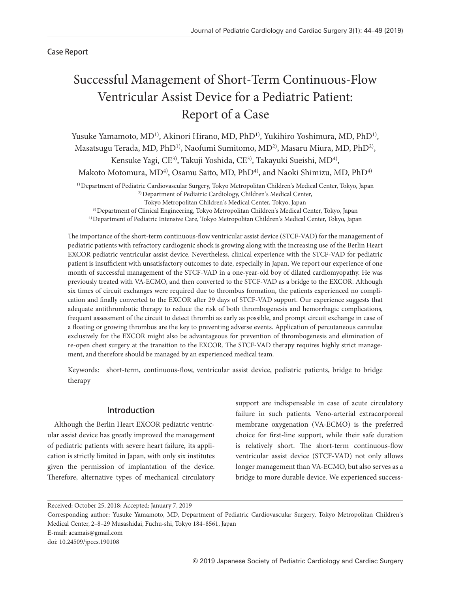Case Report

# Successful Management of Short-Term Continuous-Flow Ventricular Assist Device for a Pediatric Patient: Report of a Case

Yusuke Yamamoto, MD<sup>1)</sup>, Akinori Hirano, MD, PhD<sup>1)</sup>, Yukihiro Yoshimura, MD, PhD<sup>1)</sup>, Masatsugu Terada, MD, PhD<sup>1)</sup>, Naofumi Sumitomo, MD<sup>2)</sup>, Masaru Miura, MD, PhD<sup>2)</sup>, Kensuke Yagi, CE<sup>3)</sup>, Takuji Yoshida, CE<sup>3)</sup>, Takayuki Sueishi, MD<sup>4)</sup>, Makoto Motomura, MD<sup>4)</sup>, Osamu Saito, MD, PhD<sup>4)</sup>, and Naoki Shimizu, MD, PhD<sup>4)</sup>

1) Department of Pediatric Cardiovascular Surgery, Tokyo Metropolitan Children's Medical Center, Tokyo, Japan 2) Department of Pediatric Cardiology, Children's Medical Center,

Tokyo Metropolitan Children's Medical Center, Tokyo, Japan

3) Department of Clinical Engineering, Tokyo Metropolitan Children's Medical Center, Tokyo, Japan

4) Department of Pediatric Intensive Care, Tokyo Metropolitan Children's Medical Center, Tokyo, Japan

The importance of the short-term continuous-flow ventricular assist device (STCF-VAD) for the management of pediatric patients with refractory cardiogenic shock is growing along with the increasing use of the Berlin Heart EXCOR pediatric ventricular assist device. Nevertheless, clinical experience with the STCF-VAD for pediatric patient is insufficient with unsatisfactory outcomes to date, especially in Japan. We report our experience of one month of successful management of the STCF-VAD in a one-year-old boy of dilated cardiomyopathy. He was previously treated with VA-ECMO, and then converted to the STCF-VAD as a bridge to the EXCOR. Although six times of circuit exchanges were required due to thrombus formation, the patients experienced no complication and finally converted to the EXCOR after 29 days of STCF-VAD support. Our experience suggests that adequate antithrombotic therapy to reduce the risk of both thrombogenesis and hemorrhagic complications, frequent assessment of the circuit to detect thrombi as early as possible, and prompt circuit exchange in case of a floating or growing thrombus are the key to preventing adverse events. Application of percutaneous cannulae exclusively for the EXCOR might also be advantageous for prevention of thrombogenesis and elimination of re-open chest surgery at the transition to the EXCOR. The STCF-VAD therapy requires highly strict management, and therefore should be managed by an experienced medical team.

Keywords: short-term, continuous-flow, ventricular assist device, pediatric patients, bridge to bridge therapy

# Introduction

Although the Berlin Heart EXCOR pediatric ventricular assist device has greatly improved the management of pediatric patients with severe heart failure, its application is strictly limited in Japan, with only six institutes given the permission of implantation of the device. Therefore, alternative types of mechanical circulatory support are indispensable in case of acute circulatory failure in such patients. Veno-arterial extracorporeal membrane oxygenation (VA-ECMO) is the preferred choice for first-line support, while their safe duration is relatively short. The short-term continuous-flow ventricular assist device (STCF-VAD) not only allows longer management than VA-ECMO, but also serves as a bridge to more durable device. We experienced success-

E-mail: acamais@gmail.com

Received: October 25, 2018; Accepted: January 7, 2019

Corresponding author: Yusuke Yamamoto, MD, Department of Pediatric Cardiovascular Surgery, Tokyo Metropolitan Children's Medical Center, 2‒8‒29 Musashidai, Fuchu-shi, Tokyo 184‒8561, Japan

doi: 10.24509/jpccs.190108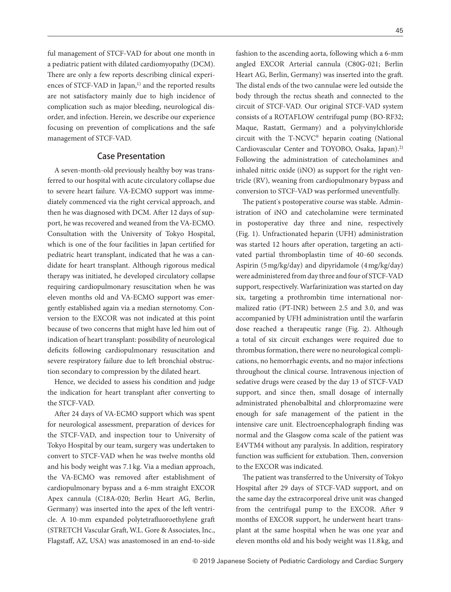ful management of STCF-VAD for about one month in a pediatric patient with dilated cardiomyopathy (DCM). There are only a few reports describing clinical experiences of STCF-VAD in Japan,<sup>1)</sup> and the reported results are not satisfactory mainly due to high incidence of complication such as major bleeding, neurological disorder, and infection. Herein, we describe our experience focusing on prevention of complications and the safe management of STCF-VAD.

## Case Presentation

A seven-month-old previously healthy boy was transferred to our hospital with acute circulatory collapse due to severe heart failure. VA-ECMO support was immediately commenced via the right cervical approach, and then he was diagnosed with DCM. After 12 days of support, he was recovered and weaned from the VA-ECMO. Consultation with the University of Tokyo Hospital, which is one of the four facilities in Japan certified for pediatric heart transplant, indicated that he was a candidate for heart transplant. Although rigorous medical therapy was initiated, he developed circulatory collapse requiring cardiopulmonary resuscitation when he was eleven months old and VA-ECMO support was emergently established again via a median sternotomy. Conversion to the EXCOR was not indicated at this point because of two concerns that might have led him out of indication of heart transplant: possibility of neurological deficits following cardiopulmonary resuscitation and severe respiratory failure due to left bronchial obstruction secondary to compression by the dilated heart.

Hence, we decided to assess his condition and judge the indication for heart transplant after converting to the STCF-VAD.

After 24 days of VA-ECMO support which was spent for neurological assessment, preparation of devices for the STCF-VAD, and inspection tour to University of Tokyo Hospital by our team, surgery was undertaken to convert to STCF-VAD when he was twelve months old and his body weight was 7.1 kg. Via a median approach, the VA-ECMO was removed after establishment of cardiopulmonary bypass and a 6-mm straight EXCOR Apex cannula (C18A-020; Berlin Heart AG, Berlin, Germany) was inserted into the apex of the left ventricle. A 10-mm expanded polytetrafluoroethylene graft (STRETCH Vascular Graft, W.L. Gore & Associates, Inc., Flagstaff, AZ, USA) was anastomosed in an end-to-side fashion to the ascending aorta, following which a 6-mm angled EXCOR Arterial cannula (C80G-021; Berlin Heart AG, Berlin, Germany) was inserted into the graft. The distal ends of the two cannulae were led outside the body through the rectus sheath and connected to the circuit of STCF-VAD. Our original STCF-VAD system consists of a ROTAFLOW centrifugal pump (BO-RF32; Maque, Rastatt, Germany) and a polyvinylchloride circuit with the T-NCVC® heparin coating (National Cardiovascular Center and TOYOBO, Osaka, Japan).2) Following the administration of catecholamines and inhaled nitric oxide (iNO) as support for the right ventricle (RV), weaning from cardiopulmonary bypass and conversion to STCF-VAD was performed uneventfully.

The patient's postoperative course was stable. Administration of iNO and catecholamine were terminated in postoperative day three and nine, respectively (Fig. 1). Unfractionated heparin (UFH) administration was started 12 hours after operation, targeting an activated partial thromboplastin time of 40–60 seconds. Aspirin (5 mg/kg/day) and dipyridamole (4 mg/kg/day) were administered from day three and four of STCF-VAD support, respectively. Warfarinization was started on day six, targeting a prothrombin time international normalized ratio (PT-INR) between 2.5 and 3.0, and was accompanied by UFH administration until the warfarin dose reached a therapeutic range (Fig. 2). Although a total of six circuit exchanges were required due to thrombus formation, there were no neurological complications, no hemorrhagic events, and no major infections throughout the clinical course. Intravenous injection of sedative drugs were ceased by the day 13 of STCF-VAD support, and since then, small dosage of internally administrated phenobalbital and chlorpromazine were enough for safe management of the patient in the intensive care unit. Electroencephalograph finding was normal and the Glasgow coma scale of the patient was E4VTM4 without any paralysis. In addition, respiratory function was sufficient for extubation. Then, conversion to the EXCOR was indicated.

The patient was transferred to the University of Tokyo Hospital after 29 days of STCF-VAD support, and on the same day the extracorporeal drive unit was changed from the centrifugal pump to the EXCOR. After 9 months of EXCOR support, he underwent heart transplant at the same hospital when he was one year and eleven months old and his body weight was 11.8 kg, and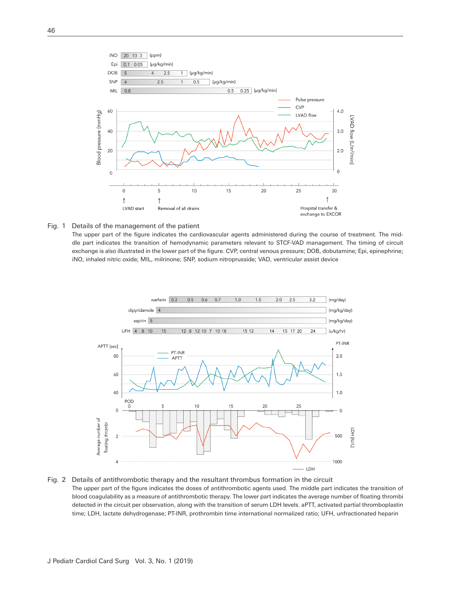

#### Fig. 1 Details of the management of the patient

The upper part of the figure indicates the cardiovascular agents administered during the course of treatment. The middle part indicates the transition of hemodynamic parameters relevant to STCF-VAD management. The timing of circuit exchange is also illustrated in the lower part of the figure. CVP, central venous pressure; DOB, dobutamine; Epi, epinephrine; iNO, inhaled nitric oxide; MIL, milrinone; SNP, sodium nitroprusside; VAD, ventricular assist device



#### Fig. 2 Details of antithrombotic therapy and the resultant thrombus formation in the circuit The upper part of the figure indicates the doses of antithrombotic agents used. The middle part indicates the transition of blood coagulability as a measure of antithrombotic therapy. The lower part indicates the average number of floating thrombi detected in the circuit per observation, along with the transition of serum LDH levels. aPTT, activated partial thromboplastin time; LDH, lactate dehydrogenase; PT-INR, prothrombin time international normalized ratio; UFH, unfractionated heparin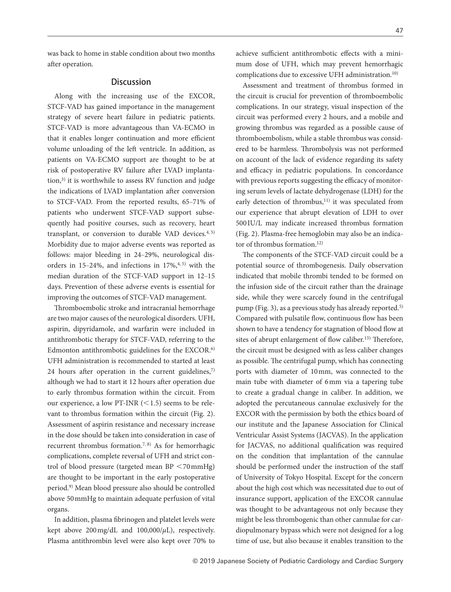was back to home in stable condition about two months after operation.

### **Discussion**

Along with the increasing use of the EXCOR, STCF-VAD has gained importance in the management strategy of severe heart failure in pediatric patients. STCF-VAD is more advantageous than VA-ECMO in that it enables longer continuation and more efficient volume unloading of the left ventricle. In addition, as patients on VA-ECMO support are thought to be at risk of postoperative RV failure after LVAD implantation, $3$ ) it is worthwhile to assess RV function and judge the indications of LVAD implantation after conversion to STCF-VAD. From the reported results, 65-71% of patients who underwent STCF-VAD support subsequently had positive courses, such as recovery, heart transplant, or conversion to durable VAD devices.<sup>4, 5)</sup> Morbidity due to major adverse events was reported as follows: major bleeding in 24-29%, neurological disorders in 15-24%, and infections in  $17\%,$ <sup>4, 5)</sup> with the median duration of the STCF-VAD support in 12-15 days. Prevention of these adverse events is essential for improving the outcomes of STCF-VAD management.

Thromboembolic stroke and intracranial hemorrhage are two major causes of the neurological disorders. UFH, aspirin, dipyridamole, and warfarin were included in antithrombotic therapy for STCF-VAD, referring to the Edmonton antithrombotic guidelines for the EXCOR.<sup>6)</sup> UFH administration is recommended to started at least 24 hours after operation in the current guidelines, $7$ ) although we had to start it 12 hours after operation due to early thrombus formation within the circuit. From our experience, a low PT-INR  $(<1.5)$  seems to be relevant to thrombus formation within the circuit (Fig. 2). Assessment of aspirin resistance and necessary increase in the dose should be taken into consideration in case of recurrent thrombus formation.<sup>7, 8)</sup> As for hemorrhagic complications, complete reversal of UFH and strict control of blood pressure (targeted mean BP <70 mmHg) are thought to be important in the early postoperative period.9) Mean blood pressure also should be controlled above 50 mmHg to maintain adequate perfusion of vital organs.

In addition, plasma fibrinogen and platelet levels were kept above 200 mg/dL and 100,000/*µ*L), respectively. Plasma antithrombin level were also kept over 70% to

achieve sufficient antithrombotic effects with a minimum dose of UFH, which may prevent hemorrhagic complications due to excessive UFH administration.10)

Assessment and treatment of thrombus formed in the circuit is crucial for prevention of thromboembolic complications. In our strategy, visual inspection of the circuit was performed every 2 hours, and a mobile and growing thrombus was regarded as a possible cause of thromboembolism, while a stable thrombus was considered to be harmless. Thrombolysis was not performed on account of the lack of evidence regarding its safety and efficacy in pediatric populations. In concordance with previous reports suggesting the efficacy of monitoring serum levels of lactate dehydrogenase (LDH) for the early detection of thrombus,<sup>11)</sup> it was speculated from our experience that abrupt elevation of LDH to over 500 IU/L may indicate increased thrombus formation (Fig. 2). Plasma-free hemoglobin may also be an indicator of thrombus formation.<sup>12)</sup>

The components of the STCF-VAD circuit could be a potential source of thrombogenesis. Daily observation indicated that mobile thrombi tended to be formed on the infusion side of the circuit rather than the drainage side, while they were scarcely found in the centrifugal pump (Fig. 3), as a previous study has already reported.<sup>5)</sup> Compared with pulsatile flow, continuous flow has been shown to have a tendency for stagnation of blood flow at sites of abrupt enlargement of flow caliber.<sup>13)</sup> Therefore, the circuit must be designed with as less caliber changes as possible. The centrifugal pump, which has connecting ports with diameter of 10 mm, was connected to the main tube with diameter of 6 mm via a tapering tube to create a gradual change in caliber. In addition, we adopted the percutaneous cannulae exclusively for the EXCOR with the permission by both the ethics board of our institute and the Japanese Association for Clinical Ventricular Assist Systems (JACVAS). In the application for JACVAS, no additional qualification was required on the condition that implantation of the cannulae should be performed under the instruction of the staff of University of Tokyo Hospital. Except for the concern about the high cost which was necessitated due to out of insurance support, application of the EXCOR cannulae was thought to be advantageous not only because they might be less thrombogenic than other cannulae for cardiopulmonary bypass which were not designed for a log time of use, but also because it enables transition to the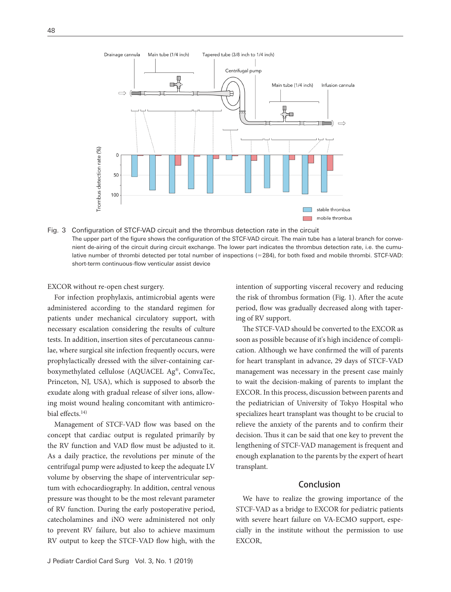

Fig. 3 Configuration of STCF-VAD circuit and the thrombus detection rate in the circuit The upper part of the figure shows the configuration of the STCF-VAD circuit. The main tube has a lateral branch for convenient de-airing of the circuit during circuit exchange. The lower part indicates the thrombus detection rate, i.e. the cumulative number of thrombi detected per total number of inspections (=284), for both fixed and mobile thrombi. STCF-VAD: short-term continuous-flow venticular assist device

EXCOR without re-open chest surgery.

For infection prophylaxis, antimicrobial agents were administered according to the standard regimen for patients under mechanical circulatory support, with necessary escalation considering the results of culture tests. In addition, insertion sites of percutaneous cannulae, where surgical site infection frequently occurs, were prophylactically dressed with the silver-containing carboxymethylated cellulose (AQUACEL Ag®, ConvaTec, Princeton, NJ, USA), which is supposed to absorb the exudate along with gradual release of silver ions, allowing moist wound healing concomitant with antimicrobial effects.14)

Management of STCF-VAD flow was based on the concept that cardiac output is regulated primarily by the RV function and VAD flow must be adjusted to it. As a daily practice, the revolutions per minute of the centrifugal pump were adjusted to keep the adequate LV volume by observing the shape of interventricular septum with echocardiography. In addition, central venous pressure was thought to be the most relevant parameter of RV function. During the early postoperative period, catecholamines and iNO were administered not only to prevent RV failure, but also to achieve maximum RV output to keep the STCF-VAD flow high, with the intention of supporting visceral recovery and reducing the risk of thrombus formation (Fig. 1). After the acute period, flow was gradually decreased along with tapering of RV support.

The STCF-VAD should be converted to the EXCOR as soon as possible because of it's high incidence of complication. Although we have confirmed the will of parents for heart transplant in advance, 29 days of STCF-VAD management was necessary in the present case mainly to wait the decision-making of parents to implant the EXCOR. In this process, discussion between parents and the pediatrician of University of Tokyo Hospital who specializes heart transplant was thought to be crucial to relieve the anxiety of the parents and to confirm their decision. Thus it can be said that one key to prevent the lengthening of STCF-VAD management is frequent and enough explanation to the parents by the expert of heart transplant.

## Conclusion

We have to realize the growing importance of the STCF-VAD as a bridge to EXCOR for pediatric patients with severe heart failure on VA-ECMO support, especially in the institute without the permission to use EXCOR,